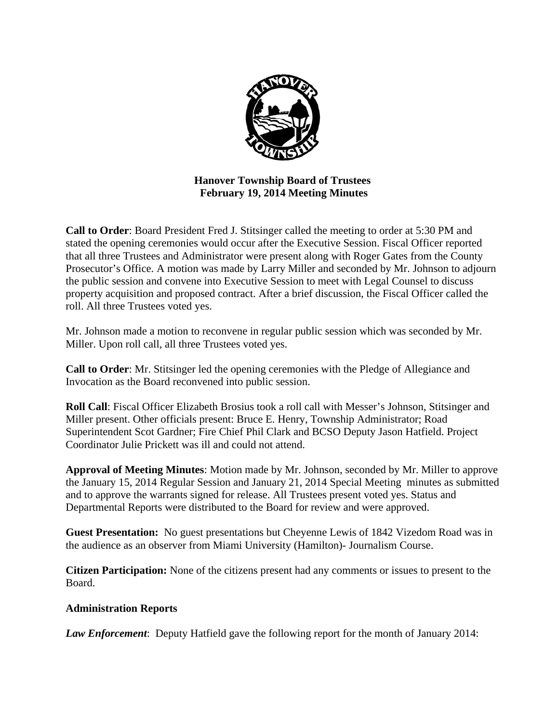

**Hanover Township Board of Trustees February 19, 2014 Meeting Minutes** 

**Call to Order**: Board President Fred J. Stitsinger called the meeting to order at 5:30 PM and stated the opening ceremonies would occur after the Executive Session. Fiscal Officer reported that all three Trustees and Administrator were present along with Roger Gates from the County Prosecutor's Office. A motion was made by Larry Miller and seconded by Mr. Johnson to adjourn the public session and convene into Executive Session to meet with Legal Counsel to discuss property acquisition and proposed contract. After a brief discussion, the Fiscal Officer called the roll. All three Trustees voted yes.

Mr. Johnson made a motion to reconvene in regular public session which was seconded by Mr. Miller. Upon roll call, all three Trustees voted yes.

**Call to Order**: Mr. Stitsinger led the opening ceremonies with the Pledge of Allegiance and Invocation as the Board reconvened into public session.

**Roll Call**: Fiscal Officer Elizabeth Brosius took a roll call with Messer's Johnson, Stitsinger and Miller present. Other officials present: Bruce E. Henry, Township Administrator; Road Superintendent Scot Gardner; Fire Chief Phil Clark and BCSO Deputy Jason Hatfield. Project Coordinator Julie Prickett was ill and could not attend.

**Approval of Meeting Minutes**: Motion made by Mr. Johnson, seconded by Mr. Miller to approve the January 15, 2014 Regular Session and January 21, 2014 Special Meeting minutes as submitted and to approve the warrants signed for release. All Trustees present voted yes. Status and Departmental Reports were distributed to the Board for review and were approved.

**Guest Presentation:** No guest presentations but Cheyenne Lewis of 1842 Vizedom Road was in the audience as an observer from Miami University (Hamilton)- Journalism Course.

**Citizen Participation:** None of the citizens present had any comments or issues to present to the Board.

# **Administration Reports**

*Law Enforcement*: Deputy Hatfield gave the following report for the month of January 2014: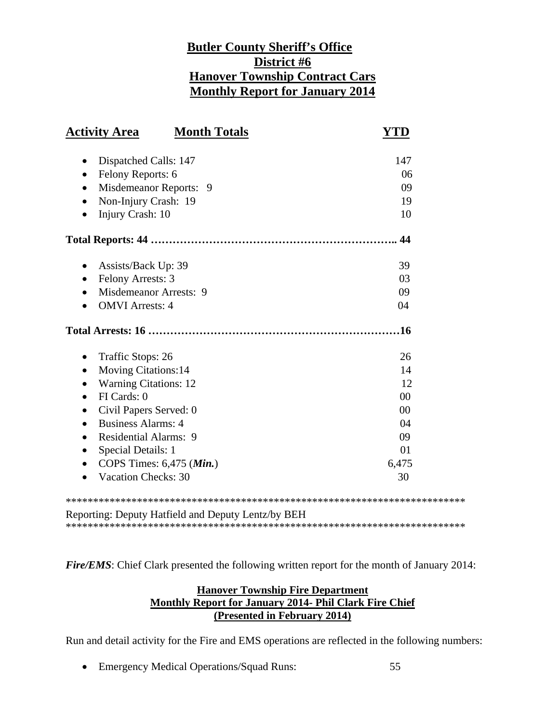# **Butler County Sheriff's Office District #6 Hanover Township Contract Cars Monthly Report for January 2014**

| <b>Activity Area</b>                             | <b>Month Totals</b> | YTD    |
|--------------------------------------------------|---------------------|--------|
| Dispatched Calls: 147<br>٠                       |                     | 147    |
| Felony Reports: 6<br>$\bullet$                   |                     | 06     |
| Misdemeanor Reports: 9<br>$\bullet$              |                     | 09     |
| Non-Injury Crash: 19                             |                     | 19     |
| Injury Crash: 10                                 |                     | 10     |
|                                                  |                     | 44     |
| Assists/Back Up: 39<br>$\bullet$                 |                     | 39     |
| Felony Arrests: 3                                |                     | 03     |
| Misdemeanor Arrests: 9                           |                     | 09     |
| <b>OMVI</b> Arrests: 4                           |                     | 04     |
|                                                  |                     | .16    |
| Traffic Stops: 26<br>$\bullet$                   |                     | 26     |
| <b>Moving Citations:14</b><br>$\bullet$          |                     | 14     |
| <b>Warning Citations: 12</b>                     |                     | 12     |
| FI Cards: 0                                      |                     | 00     |
| Civil Papers Served: 0<br>$\bullet$              |                     | $00\,$ |
| <b>Business Alarms: 4</b><br>$\bullet$           |                     | 04     |
| <b>Residential Alarms: 9</b>                     |                     | 09     |
| Special Details: 1<br>$\bullet$                  |                     | 01     |
| COPS Times: $6,475$ ( <i>Min.</i> )<br>$\bullet$ |                     | 6,475  |
| <b>Vacation Checks: 30</b>                       |                     | 30     |
|                                                  |                     |        |

Reporting: Deputy Hatfield and Deputy Lentz/by BEH \*\*\*\*\*\*\*\*\*\*\*\*\*\*\*\*\*\*\*\*\*\*\*\*\*\*\*\*\*\*\*\*\*\*\*\*\*\*\*\*\*\*\*\*\*\*\*\*\*\*\*\*\*\*\*\*\*\*\*\*\*\*\*\*\*\*\*\*\*\*\*\*\*

*Fire/EMS*: Chief Clark presented the following written report for the month of January 2014:

# **Hanover Township Fire Department Monthly Report for January 2014- Phil Clark Fire Chief (Presented in February 2014)**

Run and detail activity for the Fire and EMS operations are reflected in the following numbers:

• Emergency Medical Operations/Squad Runs: 55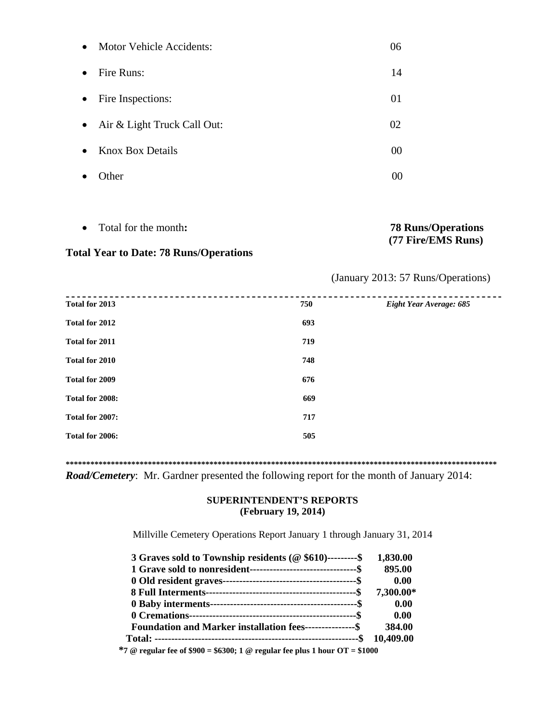| $\bullet$ | <b>Motor Vehicle Accidents:</b> | 06 |
|-----------|---------------------------------|----|
| $\bullet$ | Fire Runs:                      | 14 |
| $\bullet$ | Fire Inspections:               | 01 |
| $\bullet$ | Air & Light Truck Call Out:     | 02 |
| $\bullet$ | <b>Knox Box Details</b>         | 00 |
|           | Other                           | 00 |

Total for the month**: 78 Runs/Operations** 

**Total Year to Date: 78 Runs/Operations** 

# **(77 Fire/EMS Runs)**

# (January 2013: 57 Runs/Operations)

| Total for 2013<br>750 | Eight Year Average: 685 |
|-----------------------|-------------------------|
| Total for 2012        | 693                     |
| Total for 2011        | 719                     |
| Total for 2010        | 748                     |
| Total for 2009        | 676                     |
| Total for 2008:       | 669                     |
| Total for 2007:       | 717                     |
| Total for 2006:       | 505                     |

**\*\*\*\*\*\*\*\*\*\*\*\*\*\*\*\*\*\*\*\*\*\*\*\*\*\*\*\*\*\*\*\*\*\*\*\*\*\*\*\*\*\*\*\*\*\*\*\*\*\*\*\*\*\*\*\*\*\*\*\*\*\*\*\*\*\*\*\*\*\*\*\*\*\*\*\*\*\*\*\*\*\*\*\*\*\*\*\*\*\*\*\*\*\*\*\*\*\*\*\*\*\*\*\*\*** 

*Road/Cemetery*: Mr. Gardner presented the following report for the month of January 2014:

#### **SUPERINTENDENT'S REPORTS (February 19, 2014)**

Millville Cemetery Operations Report January 1 through January 31, 2014

| 3 Graves sold to Township residents ( $@$ \$610)---------\$     | 1,830.00  |
|-----------------------------------------------------------------|-----------|
|                                                                 | 895.00    |
|                                                                 | 0.00      |
|                                                                 | 7,300.00* |
|                                                                 | 0.00      |
|                                                                 | 0.00      |
| <b>Foundation and Marker installation fees---------------\$</b> | 384.00    |
|                                                                 |           |

 **\*7 @ regular fee of \$900 = \$6300; 1 @ regular fee plus 1 hour OT = \$1000**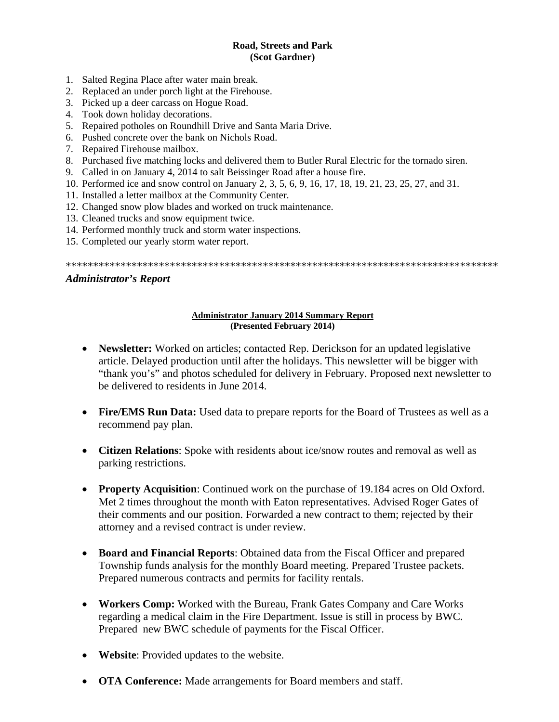#### **Road, Streets and Park (Scot Gardner)**

- 1. Salted Regina Place after water main break.
- 2. Replaced an under porch light at the Firehouse.
- 3. Picked up a deer carcass on Hogue Road.
- 4. Took down holiday decorations.
- 5. Repaired potholes on Roundhill Drive and Santa Maria Drive.
- 6. Pushed concrete over the bank on Nichols Road.
- 7. Repaired Firehouse mailbox.
- 8. Purchased five matching locks and delivered them to Butler Rural Electric for the tornado siren.
- 9. Called in on January 4, 2014 to salt Beissinger Road after a house fire.
- 10. Performed ice and snow control on January 2, 3, 5, 6, 9, 16, 17, 18, 19, 21, 23, 25, 27, and 31.
- 11. Installed a letter mailbox at the Community Center.
- 12. Changed snow plow blades and worked on truck maintenance.
- 13. Cleaned trucks and snow equipment twice.
- 14. Performed monthly truck and storm water inspections.
- 15. Completed our yearly storm water report.

\*\*\*\*\*\*\*\*\*\*\*\*\*\*\*\*\*\*\*\*\*\*\*\*\*\*\*\*\*\*\*\*\*\*\*\*\*\*\*\*\*\*\*\*\*\*\*\*\*\*\*\*\*\*\*\*\*\*\*\*\*\*\*\*\*\*\*\*\*\*\*\*\*\*\*\*\*\*\*

#### *Administrator's Report*

#### **Administrator January 2014 Summary Report (Presented February 2014)**

- **Newsletter:** Worked on articles; contacted Rep. Derickson for an updated legislative article. Delayed production until after the holidays. This newsletter will be bigger with "thank you's" and photos scheduled for delivery in February. Proposed next newsletter to be delivered to residents in June 2014.
- **Fire/EMS Run Data:** Used data to prepare reports for the Board of Trustees as well as a recommend pay plan.
- **Citizen Relations**: Spoke with residents about ice/snow routes and removal as well as parking restrictions.
- **Property Acquisition**: Continued work on the purchase of 19.184 acres on Old Oxford. Met 2 times throughout the month with Eaton representatives. Advised Roger Gates of their comments and our position. Forwarded a new contract to them; rejected by their attorney and a revised contract is under review.
- **Board and Financial Reports**: Obtained data from the Fiscal Officer and prepared Township funds analysis for the monthly Board meeting. Prepared Trustee packets. Prepared numerous contracts and permits for facility rentals.
- **Workers Comp:** Worked with the Bureau, Frank Gates Company and Care Works regarding a medical claim in the Fire Department. Issue is still in process by BWC. Prepared new BWC schedule of payments for the Fiscal Officer.
- **Website**: Provided updates to the website.
- **OTA Conference:** Made arrangements for Board members and staff.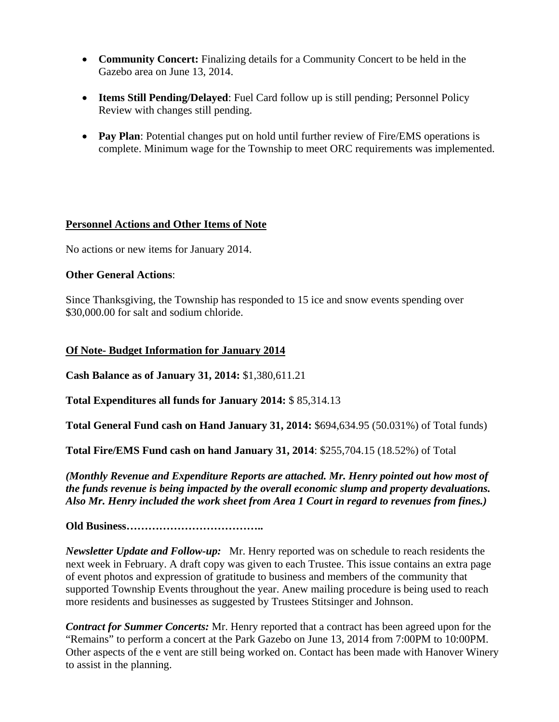- **Community Concert:** Finalizing details for a Community Concert to be held in the Gazebo area on June 13, 2014.
- **Items Still Pending/Delayed**: Fuel Card follow up is still pending; Personnel Policy Review with changes still pending.
- Pay Plan: Potential changes put on hold until further review of Fire/EMS operations is complete. Minimum wage for the Township to meet ORC requirements was implemented.

# **Personnel Actions and Other Items of Note**

No actions or new items for January 2014.

#### **Other General Actions**:

Since Thanksgiving, the Township has responded to 15 ice and snow events spending over \$30,000.00 for salt and sodium chloride.

# **Of Note- Budget Information for January 2014**

**Cash Balance as of January 31, 2014:** \$1,380,611.21

**Total Expenditures all funds for January 2014:** \$ 85,314.13

**Total General Fund cash on Hand January 31, 2014:** \$694,634.95 (50.031%) of Total funds)

**Total Fire/EMS Fund cash on hand January 31, 2014**: \$255,704.15 (18.52%) of Total

*(Monthly Revenue and Expenditure Reports are attached. Mr. Henry pointed out how most of the funds revenue is being impacted by the overall economic slump and property devaluations. Also Mr. Henry included the work sheet from Area 1 Court in regard to revenues from fines.)* 

**Old Business………………………………..** 

*Newsletter Update and Follow-up:* Mr. Henry reported was on schedule to reach residents the next week in February. A draft copy was given to each Trustee. This issue contains an extra page of event photos and expression of gratitude to business and members of the community that supported Township Events throughout the year. Anew mailing procedure is being used to reach more residents and businesses as suggested by Trustees Stitsinger and Johnson.

*Contract for Summer Concerts:* Mr. Henry reported that a contract has been agreed upon for the "Remains" to perform a concert at the Park Gazebo on June 13, 2014 from 7:00PM to 10:00PM. Other aspects of the e vent are still being worked on. Contact has been made with Hanover Winery to assist in the planning.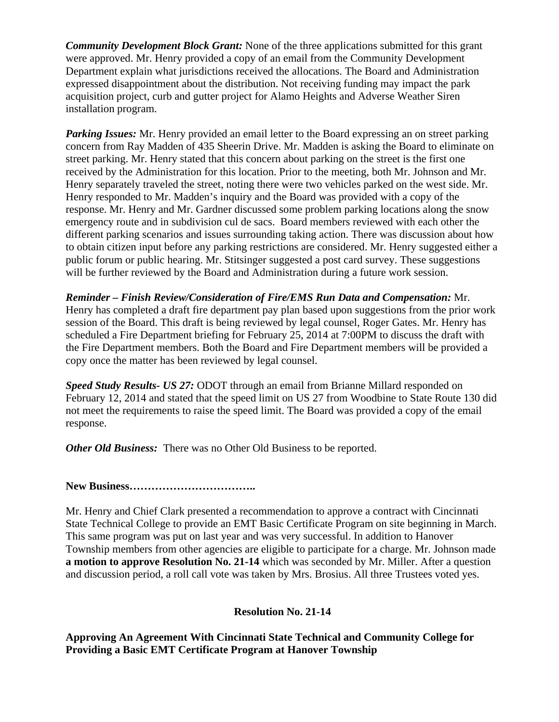*Community Development Block Grant:* None of the three applications submitted for this grant were approved. Mr. Henry provided a copy of an email from the Community Development Department explain what jurisdictions received the allocations. The Board and Administration expressed disappointment about the distribution. Not receiving funding may impact the park acquisition project, curb and gutter project for Alamo Heights and Adverse Weather Siren installation program.

*Parking Issues:* Mr. Henry provided an email letter to the Board expressing an on street parking concern from Ray Madden of 435 Sheerin Drive. Mr. Madden is asking the Board to eliminate on street parking. Mr. Henry stated that this concern about parking on the street is the first one received by the Administration for this location. Prior to the meeting, both Mr. Johnson and Mr. Henry separately traveled the street, noting there were two vehicles parked on the west side. Mr. Henry responded to Mr. Madden's inquiry and the Board was provided with a copy of the response. Mr. Henry and Mr. Gardner discussed some problem parking locations along the snow emergency route and in subdivision cul de sacs. Board members reviewed with each other the different parking scenarios and issues surrounding taking action. There was discussion about how to obtain citizen input before any parking restrictions are considered. Mr. Henry suggested either a public forum or public hearing. Mr. Stitsinger suggested a post card survey. These suggestions will be further reviewed by the Board and Administration during a future work session.

*Reminder – Finish Review/Consideration of Fire/EMS Run Data and Compensation:* Mr. Henry has completed a draft fire department pay plan based upon suggestions from the prior work session of the Board. This draft is being reviewed by legal counsel, Roger Gates. Mr. Henry has scheduled a Fire Department briefing for February 25, 2014 at 7:00PM to discuss the draft with the Fire Department members. Both the Board and Fire Department members will be provided a copy once the matter has been reviewed by legal counsel.

*Speed Study Results- US 27:* ODOT through an email from Brianne Millard responded on February 12, 2014 and stated that the speed limit on US 27 from Woodbine to State Route 130 did not meet the requirements to raise the speed limit. The Board was provided a copy of the email response.

*Other Old Business:* There was no Other Old Business to be reported.

**New Business……………………………..** 

Mr. Henry and Chief Clark presented a recommendation to approve a contract with Cincinnati State Technical College to provide an EMT Basic Certificate Program on site beginning in March. This same program was put on last year and was very successful. In addition to Hanover Township members from other agencies are eligible to participate for a charge. Mr. Johnson made **a motion to approve Resolution No. 21-14** which was seconded by Mr. Miller. After a question and discussion period, a roll call vote was taken by Mrs. Brosius. All three Trustees voted yes.

# **Resolution No. 21-14**

**Approving An Agreement With Cincinnati State Technical and Community College for Providing a Basic EMT Certificate Program at Hanover Township**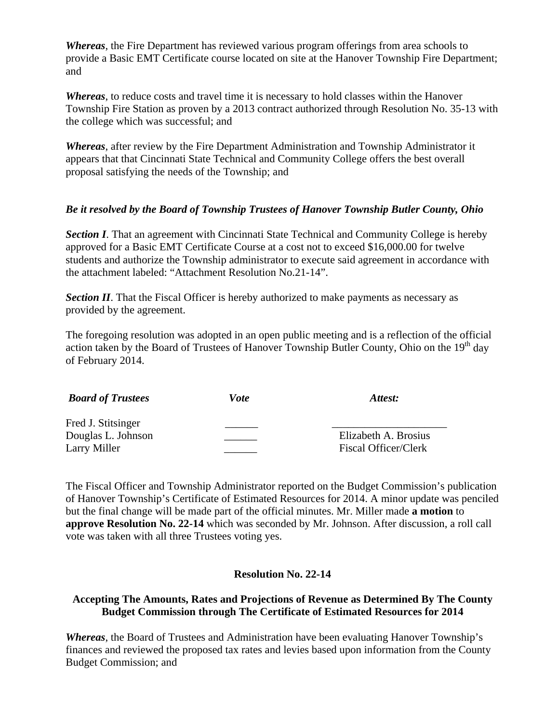*Whereas*, the Fire Department has reviewed various program offerings from area schools to provide a Basic EMT Certificate course located on site at the Hanover Township Fire Department; and

*Whereas*, to reduce costs and travel time it is necessary to hold classes within the Hanover Township Fire Station as proven by a 2013 contract authorized through Resolution No. 35-13 with the college which was successful; and

*Whereas*, after review by the Fire Department Administration and Township Administrator it appears that that Cincinnati State Technical and Community College offers the best overall proposal satisfying the needs of the Township; and

#### *Be it resolved by the Board of Township Trustees of Hanover Township Butler County, Ohio*

**Section I.** That an agreement with Cincinnati State Technical and Community College is hereby approved for a Basic EMT Certificate Course at a cost not to exceed \$16,000.00 for twelve students and authorize the Township administrator to execute said agreement in accordance with the attachment labeled: "Attachment Resolution No.21-14".

*Section II*. That the Fiscal Officer is hereby authorized to make payments as necessary as provided by the agreement.

The foregoing resolution was adopted in an open public meeting and is a reflection of the official action taken by the Board of Trustees of Hanover Township Butler County, Ohio on the  $19<sup>th</sup>$  day of February 2014.

| <b>Board of Trustees</b>                                 | Vote | Attest:                                      |
|----------------------------------------------------------|------|----------------------------------------------|
| Fred J. Stitsinger<br>Douglas L. Johnson<br>Larry Miller |      | Elizabeth A. Brosius<br>Fiscal Officer/Clerk |

The Fiscal Officer and Township Administrator reported on the Budget Commission's publication of Hanover Township's Certificate of Estimated Resources for 2014. A minor update was penciled but the final change will be made part of the official minutes. Mr. Miller made **a motion** to **approve Resolution No. 22-14** which was seconded by Mr. Johnson. After discussion, a roll call vote was taken with all three Trustees voting yes.

# **Resolution No. 22-14**

#### **Accepting The Amounts, Rates and Projections of Revenue as Determined By The County Budget Commission through The Certificate of Estimated Resources for 2014**

*Whereas*, the Board of Trustees and Administration have been evaluating Hanover Township's finances and reviewed the proposed tax rates and levies based upon information from the County Budget Commission; and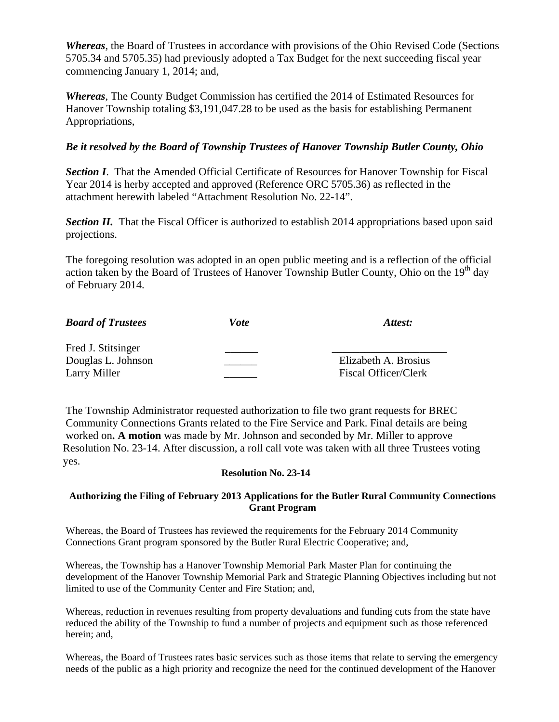*Whereas*, the Board of Trustees in accordance with provisions of the Ohio Revised Code (Sections 5705.34 and 5705.35) had previously adopted a Tax Budget for the next succeeding fiscal year commencing January 1, 2014; and,

*Whereas*, The County Budget Commission has certified the 2014 of Estimated Resources for Hanover Township totaling \$3,191,047.28 to be used as the basis for establishing Permanent Appropriations,

# *Be it resolved by the Board of Township Trustees of Hanover Township Butler County, Ohio*

**Section I.** That the Amended Official Certificate of Resources for Hanover Township for Fiscal Year 2014 is herby accepted and approved (Reference ORC 5705.36) as reflected in the attachment herewith labeled "Attachment Resolution No. 22-14".

**Section II.** That the Fiscal Officer is authorized to establish 2014 appropriations based upon said projections.

The foregoing resolution was adopted in an open public meeting and is a reflection of the official action taken by the Board of Trustees of Hanover Township Butler County, Ohio on the  $19<sup>th</sup>$  day of February 2014.

| <b>Board of Trustees</b> | Vote | Attest:              |
|--------------------------|------|----------------------|
| Fred J. Stitsinger       |      |                      |
| Douglas L. Johnson       |      | Elizabeth A. Brosius |
| Larry Miller             |      | Fiscal Officer/Clerk |

 The Township Administrator requested authorization to file two grant requests for BREC Community Connections Grants related to the Fire Service and Park. Final details are being worked on**. A motion** was made by Mr. Johnson and seconded by Mr. Miller to approve Resolution No. 23-14. After discussion, a roll call vote was taken with all three Trustees voting yes.

#### **Resolution No. 23-14**

#### **Authorizing the Filing of February 2013 Applications for the Butler Rural Community Connections Grant Program**

Whereas, the Board of Trustees has reviewed the requirements for the February 2014 Community Connections Grant program sponsored by the Butler Rural Electric Cooperative; and,

Whereas, the Township has a Hanover Township Memorial Park Master Plan for continuing the development of the Hanover Township Memorial Park and Strategic Planning Objectives including but not limited to use of the Community Center and Fire Station; and,

Whereas, reduction in revenues resulting from property devaluations and funding cuts from the state have reduced the ability of the Township to fund a number of projects and equipment such as those referenced herein; and,

Whereas, the Board of Trustees rates basic services such as those items that relate to serving the emergency needs of the public as a high priority and recognize the need for the continued development of the Hanover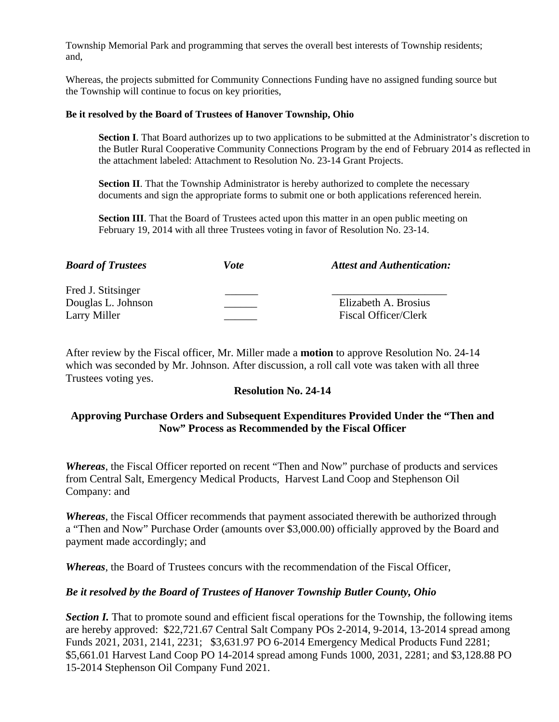Township Memorial Park and programming that serves the overall best interests of Township residents; and,

Whereas, the projects submitted for Community Connections Funding have no assigned funding source but the Township will continue to focus on key priorities,

#### **Be it resolved by the Board of Trustees of Hanover Township, Ohio**

**Section I**. That Board authorizes up to two applications to be submitted at the Administrator's discretion to the Butler Rural Cooperative Community Connections Program by the end of February 2014 as reflected in the attachment labeled: Attachment to Resolution No. 23-14 Grant Projects.

**Section II**. That the Township Administrator is hereby authorized to complete the necessary documents and sign the appropriate forms to submit one or both applications referenced herein.

**Section III**. That the Board of Trustees acted upon this matter in an open public meeting on February 19, 2014 with all three Trustees voting in favor of Resolution No. 23-14.

| <b>Board of Trustees</b>                                 | Vote | <b>Attest and Authentication:</b>                   |
|----------------------------------------------------------|------|-----------------------------------------------------|
| Fred J. Stitsinger<br>Douglas L. Johnson<br>Larry Miller |      | Elizabeth A. Brosius<br><b>Fiscal Officer/Clerk</b> |

After review by the Fiscal officer, Mr. Miller made a **motion** to approve Resolution No. 24-14 which was seconded by Mr. Johnson. After discussion, a roll call vote was taken with all three Trustees voting yes.

#### **Resolution No. 24-14**

#### **Approving Purchase Orders and Subsequent Expenditures Provided Under the "Then and Now" Process as Recommended by the Fiscal Officer**

*Whereas*, the Fiscal Officer reported on recent "Then and Now" purchase of products and services from Central Salt, Emergency Medical Products, Harvest Land Coop and Stephenson Oil Company: and

*Whereas*, the Fiscal Officer recommends that payment associated therewith be authorized through a "Then and Now" Purchase Order (amounts over \$3,000.00) officially approved by the Board and payment made accordingly; and

*Whereas*, the Board of Trustees concurs with the recommendation of the Fiscal Officer,

#### *Be it resolved by the Board of Trustees of Hanover Township Butler County, Ohio*

**Section I.** That to promote sound and efficient fiscal operations for the Township, the following items are hereby approved: \$22,721.67 Central Salt Company POs 2-2014, 9-2014, 13-2014 spread among Funds 2021, 2031, 2141, 2231; \$3,631.97 PO 6-2014 Emergency Medical Products Fund 2281; \$5,661.01 Harvest Land Coop PO 14-2014 spread among Funds 1000, 2031, 2281; and \$3,128.88 PO 15-2014 Stephenson Oil Company Fund 2021.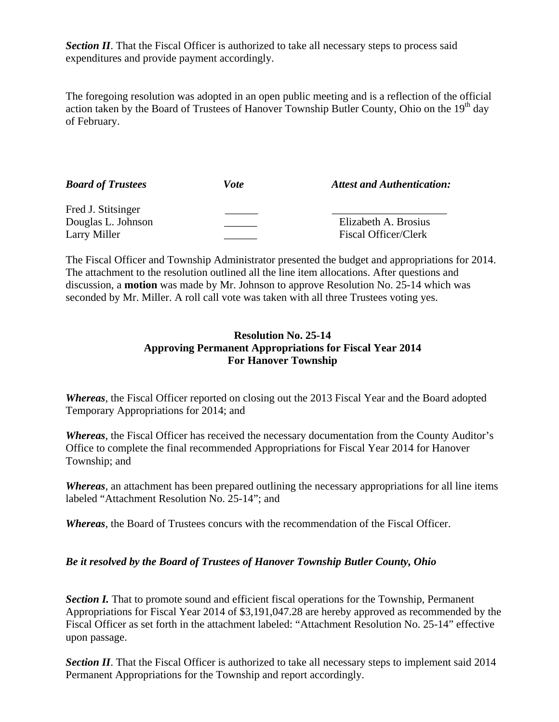**Section II.** That the Fiscal Officer is authorized to take all necessary steps to process said expenditures and provide payment accordingly.

The foregoing resolution was adopted in an open public meeting and is a reflection of the official action taken by the Board of Trustees of Hanover Township Butler County, Ohio on the 19<sup>th</sup> day of February.

| <b>Board of Trustees</b> | Vote | <b>Attest and Authentication:</b> |
|--------------------------|------|-----------------------------------|
| Fred J. Stitsinger       |      |                                   |
| Douglas L. Johnson       |      | Elizabeth A. Brosius              |
| Larry Miller             |      | Fiscal Officer/Clerk              |

The Fiscal Officer and Township Administrator presented the budget and appropriations for 2014. The attachment to the resolution outlined all the line item allocations. After questions and discussion, a **motion** was made by Mr. Johnson to approve Resolution No. 25-14 which was seconded by Mr. Miller. A roll call vote was taken with all three Trustees voting yes.

#### **Resolution No. 25-14 Approving Permanent Appropriations for Fiscal Year 2014 For Hanover Township**

*Whereas*, the Fiscal Officer reported on closing out the 2013 Fiscal Year and the Board adopted Temporary Appropriations for 2014; and

*Whereas*, the Fiscal Officer has received the necessary documentation from the County Auditor's Office to complete the final recommended Appropriations for Fiscal Year 2014 for Hanover Township; and

*Whereas*, an attachment has been prepared outlining the necessary appropriations for all line items labeled "Attachment Resolution No. 25-14"; and

*Whereas*, the Board of Trustees concurs with the recommendation of the Fiscal Officer.

# *Be it resolved by the Board of Trustees of Hanover Township Butler County, Ohio*

**Section I.** That to promote sound and efficient fiscal operations for the Township, Permanent Appropriations for Fiscal Year 2014 of \$3,191,047.28 are hereby approved as recommended by the Fiscal Officer as set forth in the attachment labeled: "Attachment Resolution No. 25-14" effective upon passage.

**Section II**. That the Fiscal Officer is authorized to take all necessary steps to implement said 2014 Permanent Appropriations for the Township and report accordingly.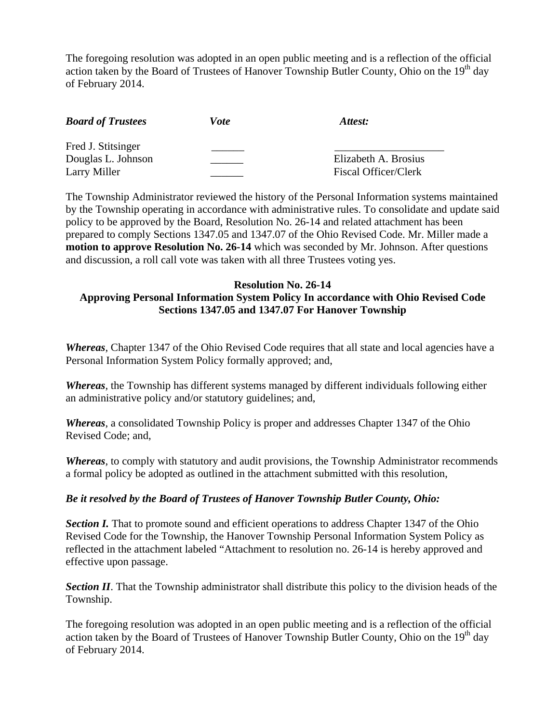The foregoing resolution was adopted in an open public meeting and is a reflection of the official action taken by the Board of Trustees of Hanover Township Butler County, Ohio on the  $19<sup>th</sup>$  day of February 2014.

| <b>Board of Trustees</b> | Vote | Attest:                     |
|--------------------------|------|-----------------------------|
| Fred J. Stitsinger       |      |                             |
| Douglas L. Johnson       |      | Elizabeth A. Brosius        |
| Larry Miller             |      | <b>Fiscal Officer/Clerk</b> |

The Township Administrator reviewed the history of the Personal Information systems maintained by the Township operating in accordance with administrative rules. To consolidate and update said policy to be approved by the Board, Resolution No. 26-14 and related attachment has been prepared to comply Sections 1347.05 and 1347.07 of the Ohio Revised Code. Mr. Miller made a **motion to approve Resolution No. 26-14** which was seconded by Mr. Johnson. After questions and discussion, a roll call vote was taken with all three Trustees voting yes.

#### **Resolution No. 26-14 Approving Personal Information System Policy In accordance with Ohio Revised Code Sections 1347.05 and 1347.07 For Hanover Township**

*Whereas*, Chapter 1347 of the Ohio Revised Code requires that all state and local agencies have a Personal Information System Policy formally approved; and,

*Whereas*, the Township has different systems managed by different individuals following either an administrative policy and/or statutory guidelines; and,

*Whereas*, a consolidated Township Policy is proper and addresses Chapter 1347 of the Ohio Revised Code; and,

*Whereas*, to comply with statutory and audit provisions, the Township Administrator recommends a formal policy be adopted as outlined in the attachment submitted with this resolution,

# *Be it resolved by the Board of Trustees of Hanover Township Butler County, Ohio:*

**Section I.** That to promote sound and efficient operations to address Chapter 1347 of the Ohio Revised Code for the Township, the Hanover Township Personal Information System Policy as reflected in the attachment labeled "Attachment to resolution no. 26-14 is hereby approved and effective upon passage.

**Section II**. That the Township administrator shall distribute this policy to the division heads of the Township.

The foregoing resolution was adopted in an open public meeting and is a reflection of the official action taken by the Board of Trustees of Hanover Township Butler County, Ohio on the  $19<sup>th</sup>$  day of February 2014.